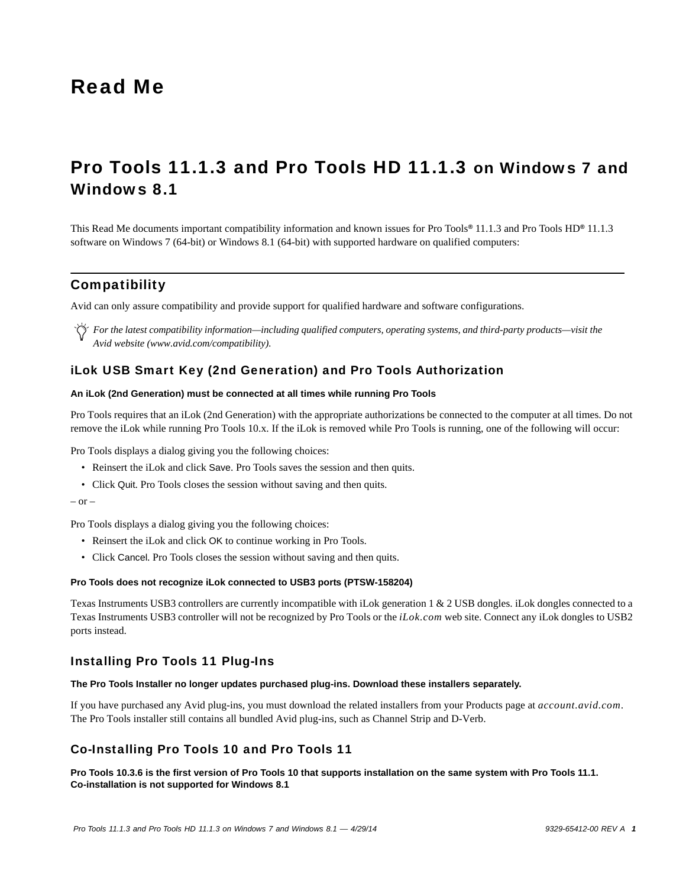# Read Me

# Pro Tools 11.1.3 and Pro Tools HD 11.1.3 on Windows 7 and Windows 8.1

This Read Me documents important compatibility information and known issues for Pro Tools*®* 11.1.3 and Pro Tools HD*®* 11.1.3 software on Windows 7 (64-bit) or Windows 8.1 (64-bit) with supported hardware on qualified computers:

# **Compatibility**

Avid can only assure compatibility and provide support for qualified hardware and software configurations.

*For the latest compatibility information—including qualified computers, operating systems, and third-party products—visit the Avid website (www.avid.com/compatibility).*

# iLok USB Smart Key (2nd Generation) and Pro Tools Authorization

### **An iLok (2nd Generation) must be connected at all times while running Pro Tools**

Pro Tools requires that an iLok (2nd Generation) with the appropriate authorizations be connected to the computer at all times. Do not remove the iLok while running Pro Tools 10.x. If the iLok is removed while Pro Tools is running, one of the following will occur:

Pro Tools displays a dialog giving you the following choices:

- Reinsert the iLok and click Save. Pro Tools saves the session and then quits.
- Click Quit. Pro Tools closes the session without saving and then quits.

```
- or -
```
Pro Tools displays a dialog giving you the following choices:

- Reinsert the iLok and click OK to continue working in Pro Tools.
- Click Cancel. Pro Tools closes the session without saving and then quits.

### **Pro Tools does not recognize iLok connected to USB3 ports (PTSW-158204)**

Texas Instruments USB3 controllers are currently incompatible with iLok generation 1 & 2 USB dongles. iLok dongles connected to a Texas Instruments USB3 controller will not be recognized by Pro Tools or the *iLok.com* web site. Connect any iLok dongles to USB2 ports instead.

### Installing Pro Tools 11 Plug-Ins

### **The Pro Tools Installer no longer updates purchased plug-ins. Download these installers separately.**

If you have purchased any Avid plug-ins, you must download the related installers from your Products page at *account.avid.com*. The Pro Tools installer still contains all bundled Avid plug-ins, such as Channel Strip and D-Verb.

### Co-Installing Pro Tools 10 and Pro Tools 11

**Pro Tools 10.3.6 is the first version of Pro Tools 10 that supports installation on the same system with Pro Tools 11.1. Co-installation is not supported for Windows 8.1**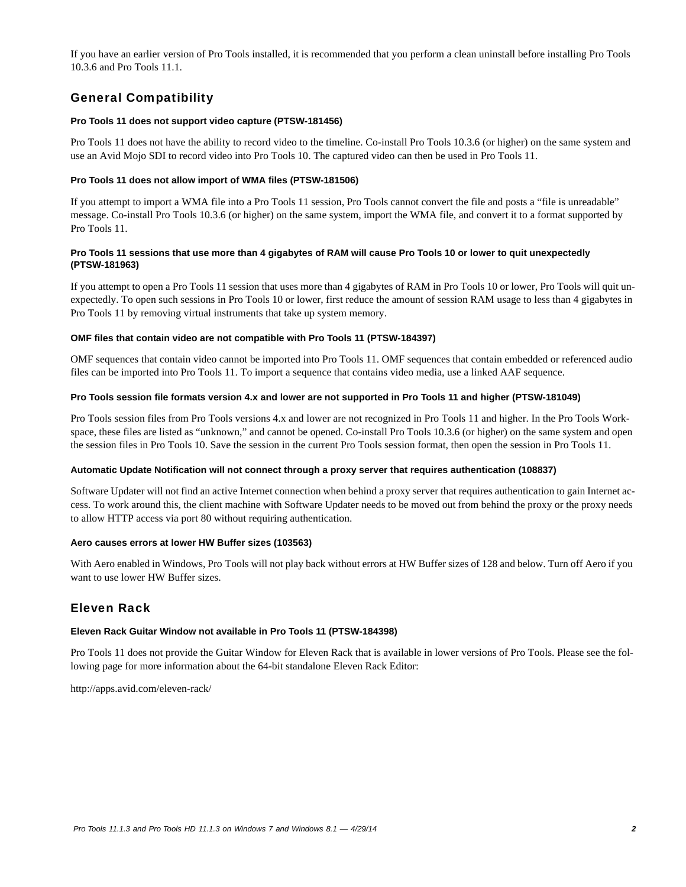If you have an earlier version of Pro Tools installed, it is recommended that you perform a clean uninstall before installing Pro Tools 10.3.6 and Pro Tools 11.1.

# General Compatibility

### **Pro Tools 11 does not support video capture (PTSW-181456)**

Pro Tools 11 does not have the ability to record video to the timeline. Co-install Pro Tools 10.3.6 (or higher) on the same system and use an Avid Mojo SDI to record video into Pro Tools 10. The captured video can then be used in Pro Tools 11.

### **Pro Tools 11 does not allow import of WMA files (PTSW-181506)**

If you attempt to import a WMA file into a Pro Tools 11 session, Pro Tools cannot convert the file and posts a "file is unreadable" message. Co-install Pro Tools 10.3.6 (or higher) on the same system, import the WMA file, and convert it to a format supported by Pro Tools 11.

### **Pro Tools 11 sessions that use more than 4 gigabytes of RAM will cause Pro Tools 10 or lower to quit unexpectedly (PTSW-181963)**

If you attempt to open a Pro Tools 11 session that uses more than 4 gigabytes of RAM in Pro Tools 10 or lower, Pro Tools will quit unexpectedly. To open such sessions in Pro Tools 10 or lower, first reduce the amount of session RAM usage to less than 4 gigabytes in Pro Tools 11 by removing virtual instruments that take up system memory.

### **OMF files that contain video are not compatible with Pro Tools 11 (PTSW-184397)**

OMF sequences that contain video cannot be imported into Pro Tools 11. OMF sequences that contain embedded or referenced audio files can be imported into Pro Tools 11. To import a sequence that contains video media, use a linked AAF sequence.

### **Pro Tools session file formats version 4.x and lower are not supported in Pro Tools 11 and higher (PTSW-181049)**

Pro Tools session files from Pro Tools versions 4.x and lower are not recognized in Pro Tools 11 and higher. In the Pro Tools Workspace, these files are listed as "unknown," and cannot be opened. Co-install Pro Tools 10.3.6 (or higher) on the same system and open the session files in Pro Tools 10. Save the session in the current Pro Tools session format, then open the session in Pro Tools 11.

### **Automatic Update Notification will not connect through a proxy server that requires authentication (108837)**

Software Updater will not find an active Internet connection when behind a proxy server that requires authentication to gain Internet access. To work around this, the client machine with Software Updater needs to be moved out from behind the proxy or the proxy needs to allow HTTP access via port 80 without requiring authentication.

### **Aero causes errors at lower HW Buffer sizes (103563)**

With Aero enabled in Windows, Pro Tools will not play back without errors at HW Buffer sizes of 128 and below. Turn off Aero if you want to use lower HW Buffer sizes.

# Eleven Rack

### **Eleven Rack Guitar Window not available in Pro Tools 11 (PTSW-184398)**

Pro Tools 11 does not provide the Guitar Window for Eleven Rack that is available in lower versions of Pro Tools. Please see the following page for more information about the 64-bit standalone Eleven Rack Editor:

http://apps.avid.com/eleven-rack/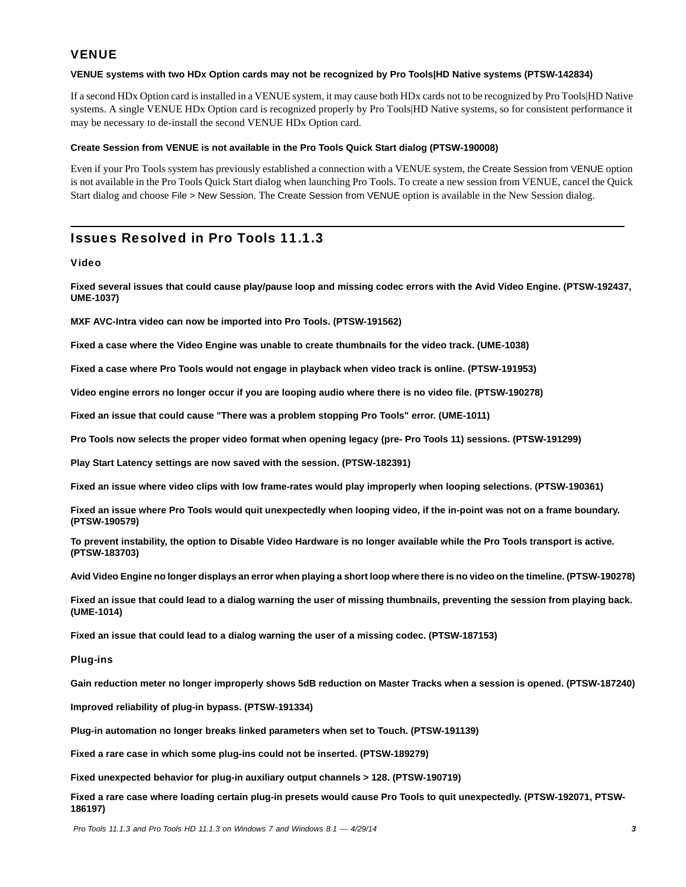# **VENUE**

### **VENUE systems with two HDx Option cards may not be recognized by Pro Tools|HD Native systems (PTSW-142834)**

If a second HDx Option card is installed in a VENUE system, it may cause both HDx cards not to be recognized by Pro Tools|HD Native systems. A single VENUE HDx Option card is recognized properly by Pro Tools|HD Native systems, so for consistent performance it may be necessary to de-install the second VENUE HDx Option card.

### **Create Session from VENUE is not available in the Pro Tools Quick Start dialog (PTSW-190008)**

Even if your Pro Tools system has previously established a connection with a VENUE system, the Create Session from VENUE option is not available in the Pro Tools Quick Start dialog when launching Pro Tools. To create a new session from VENUE, cancel the Quick Start dialog and choose File > New Session. The Create Session from VENUE option is available in the New Session dialog.

# Issues Resolved in Pro Tools 11.1.3

### Video

**Fixed several issues that could cause play/pause loop and missing codec errors with the Avid Video Engine. (PTSW-192437, UME-1037)**

**MXF AVC-Intra video can now be imported into Pro Tools. (PTSW-191562)**

**Fixed a case where the Video Engine was unable to create thumbnails for the video track. (UME-1038)**

**Fixed a case where Pro Tools would not engage in playback when video track is online. (PTSW-191953)**

**Video engine errors no longer occur if you are looping audio where there is no video file. (PTSW-190278)**

**Fixed an issue that could cause "There was a problem stopping Pro Tools" error. (UME-1011)**

**Pro Tools now selects the proper video format when opening legacy (pre- Pro Tools 11) sessions. (PTSW-191299)**

**Play Start Latency settings are now saved with the session. (PTSW-182391)**

**Fixed an issue where video clips with low frame-rates would play improperly when looping selections. (PTSW-190361)**

**Fixed an issue where Pro Tools would quit unexpectedly when looping video, if the in-point was not on a frame boundary. (PTSW-190579)**

**To prevent instability, the option to Disable Video Hardware is no longer available while the Pro Tools transport is active. (PTSW-183703)**

**Avid Video Engine no longer displays an error when playing a short loop where there is no video on the timeline. (PTSW-190278)**

**Fixed an issue that could lead to a dialog warning the user of missing thumbnails, preventing the session from playing back. (UME-1014)**

**Fixed an issue that could lead to a dialog warning the user of a missing codec. (PTSW-187153)**

### Plug-ins

**Gain reduction meter no longer improperly shows 5dB reduction on Master Tracks when a session is opened. (PTSW-187240)**

**Improved reliability of plug-in bypass. (PTSW-191334)**

**Plug-in automation no longer breaks linked parameters when set to Touch. (PTSW-191139)**

**Fixed a rare case in which some plug-ins could not be inserted. (PTSW-189279)**

**Fixed unexpected behavior for plug-in auxiliary output channels > 128. (PTSW-190719)**

**Fixed a rare case where loading certain plug-in presets would cause Pro Tools to quit unexpectedly. (PTSW-192071, PTSW-186197)**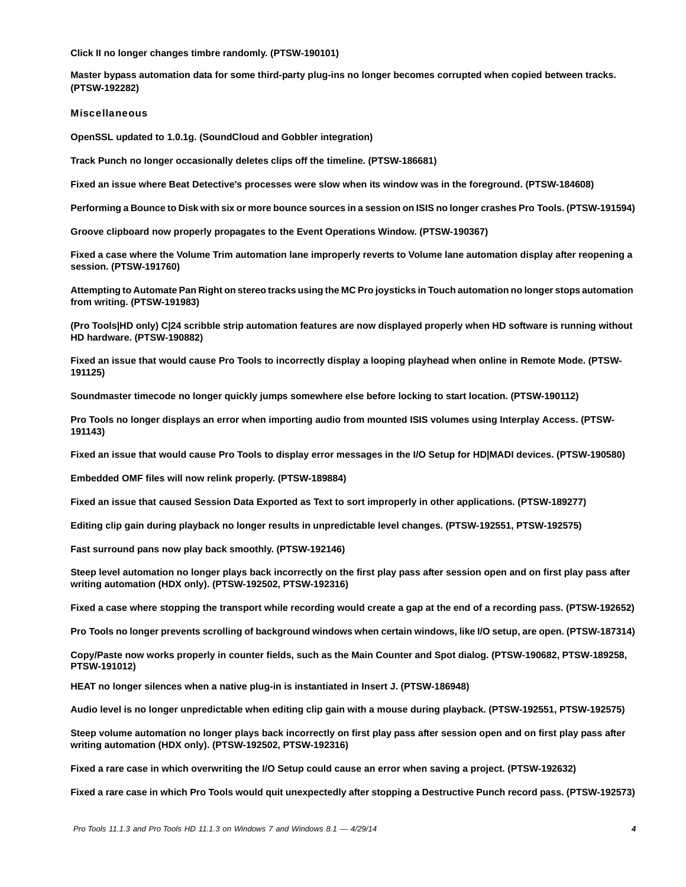**Click II no longer changes timbre randomly. (PTSW-190101)**

**Master bypass automation data for some third-party plug-ins no longer becomes corrupted when copied between tracks. (PTSW-192282)**

#### Miscellaneous

**OpenSSL updated to 1.0.1g. (SoundCloud and Gobbler integration)**

**Track Punch no longer occasionally deletes clips off the timeline. (PTSW-186681)**

**Fixed an issue where Beat Detective's processes were slow when its window was in the foreground. (PTSW-184608)**

**Performing a Bounce to Disk with six or more bounce sources in a session on ISIS no longer crashes Pro Tools. (PTSW-191594)**

**Groove clipboard now properly propagates to the Event Operations Window. (PTSW-190367)**

**Fixed a case where the Volume Trim automation lane improperly reverts to Volume lane automation display after reopening a session. (PTSW-191760)**

**Attempting to Automate Pan Right on stereo tracks using the MC Pro joysticks in Touch automation no longer stops automation from writing. (PTSW-191983)**

**(Pro Tools|HD only) C|24 scribble strip automation features are now displayed properly when HD software is running without HD hardware. (PTSW-190882)**

**Fixed an issue that would cause Pro Tools to incorrectly display a looping playhead when online in Remote Mode. (PTSW-191125)**

**Soundmaster timecode no longer quickly jumps somewhere else before locking to start location. (PTSW-190112)**

**Pro Tools no longer displays an error when importing audio from mounted ISIS volumes using Interplay Access. (PTSW-191143)**

**Fixed an issue that would cause Pro Tools to display error messages in the I/O Setup for HD|MADI devices. (PTSW-190580)**

**Embedded OMF files will now relink properly. (PTSW-189884)**

**Fixed an issue that caused Session Data Exported as Text to sort improperly in other applications. (PTSW-189277)**

**Editing clip gain during playback no longer results in unpredictable level changes. (PTSW-192551, PTSW-192575)**

**Fast surround pans now play back smoothly. (PTSW-192146)**

**Steep level automation no longer plays back incorrectly on the first play pass after session open and on first play pass after writing automation (HDX only). (PTSW-192502, PTSW-192316)**

**Fixed a case where stopping the transport while recording would create a gap at the end of a recording pass. (PTSW-192652)**

**Pro Tools no longer prevents scrolling of background windows when certain windows, like I/O setup, are open. (PTSW-187314)**

**Copy/Paste now works properly in counter fields, such as the Main Counter and Spot dialog. (PTSW-190682, PTSW-189258, PTSW-191012)**

**HEAT no longer silences when a native plug-in is instantiated in Insert J. (PTSW-186948)**

**Audio level is no longer unpredictable when editing clip gain with a mouse during playback. (PTSW-192551, PTSW-192575)**

**Steep volume automation no longer plays back incorrectly on first play pass after session open and on first play pass after writing automation (HDX only). (PTSW-192502, PTSW-192316)**

**Fixed a rare case in which overwriting the I/O Setup could cause an error when saving a project. (PTSW-192632)**

**Fixed a rare case in which Pro Tools would quit unexpectedly after stopping a Destructive Punch record pass. (PTSW-192573)**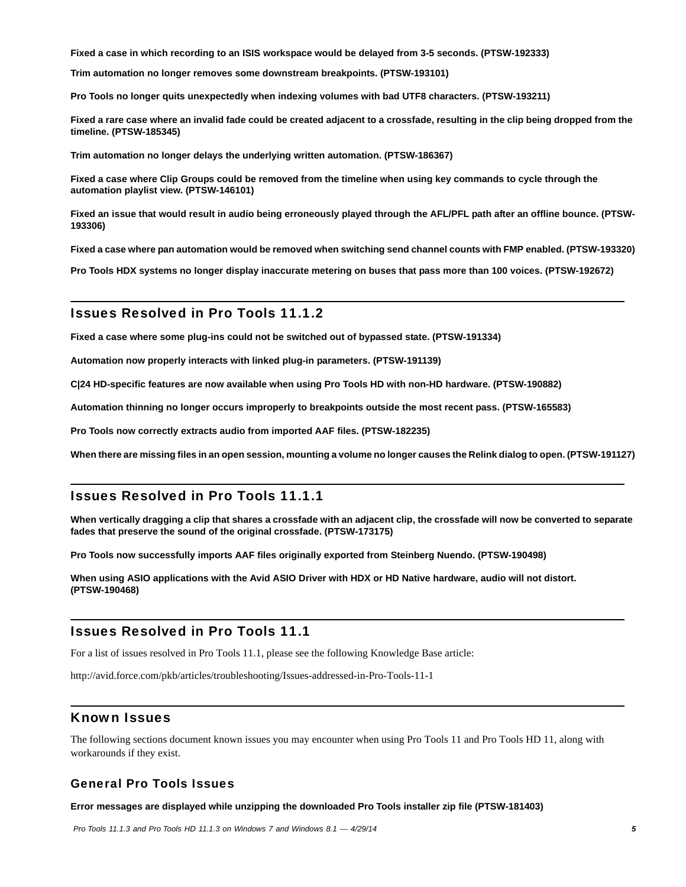**Fixed a case in which recording to an ISIS workspace would be delayed from 3-5 seconds. (PTSW-192333)**

**Trim automation no longer removes some downstream breakpoints. (PTSW-193101)**

**Pro Tools no longer quits unexpectedly when indexing volumes with bad UTF8 characters. (PTSW-193211)**

**Fixed a rare case where an invalid fade could be created adjacent to a crossfade, resulting in the clip being dropped from the timeline. (PTSW-185345)**

**Trim automation no longer delays the underlying written automation. (PTSW-186367)**

**Fixed a case where Clip Groups could be removed from the timeline when using key commands to cycle through the automation playlist view. (PTSW-146101)**

**Fixed an issue that would result in audio being erroneously played through the AFL/PFL path after an offline bounce. (PTSW-193306)**

**Fixed a case where pan automation would be removed when switching send channel counts with FMP enabled. (PTSW-193320)**

**Pro Tools HDX systems no longer display inaccurate metering on buses that pass more than 100 voices. (PTSW-192672)**

### Issues Resolved in Pro Tools 11.1.2

**Fixed a case where some plug-ins could not be switched out of bypassed state. (PTSW-191334)**

**Automation now properly interacts with linked plug-in parameters. (PTSW-191139)**

**C|24 HD-specific features are now available when using Pro Tools HD with non-HD hardware. (PTSW-190882)**

**Automation thinning no longer occurs improperly to breakpoints outside the most recent pass. (PTSW-165583)**

**Pro Tools now correctly extracts audio from imported AAF files. (PTSW-182235)**

**When there are missing files in an open session, mounting a volume no longer causes the Relink dialog to open. (PTSW-191127)**

### Issues Resolved in Pro Tools 11.1.1

**When vertically dragging a clip that shares a crossfade with an adjacent clip, the crossfade will now be converted to separate fades that preserve the sound of the original crossfade. (PTSW-173175)**

**Pro Tools now successfully imports AAF files originally exported from Steinberg Nuendo. (PTSW-190498)**

**When using ASIO applications with the Avid ASIO Driver with HDX or HD Native hardware, audio will not distort. (PTSW-190468)**

### Issues Resolved in Pro Tools 11.1

For a list of issues resolved in Pro Tools 11.1, please see the following Knowledge Base article:

<http://avid.force.com/pkb/articles/troubleshooting/Issues-addressed-in-Pro-Tools-11-1>

### Known Issues

The following sections document known issues you may encounter when using Pro Tools 11 and Pro Tools HD 11, along with workarounds if they exist.

### General Pro Tools Issues

**Error messages are displayed while unzipping the downloaded Pro Tools installer zip file (PTSW-181403)**

 *Pro Tools 11.1.3 and Pro Tools HD 11.1.3 on Windows 7 and Windows 8.1*  $-$  *4/29/14* **5**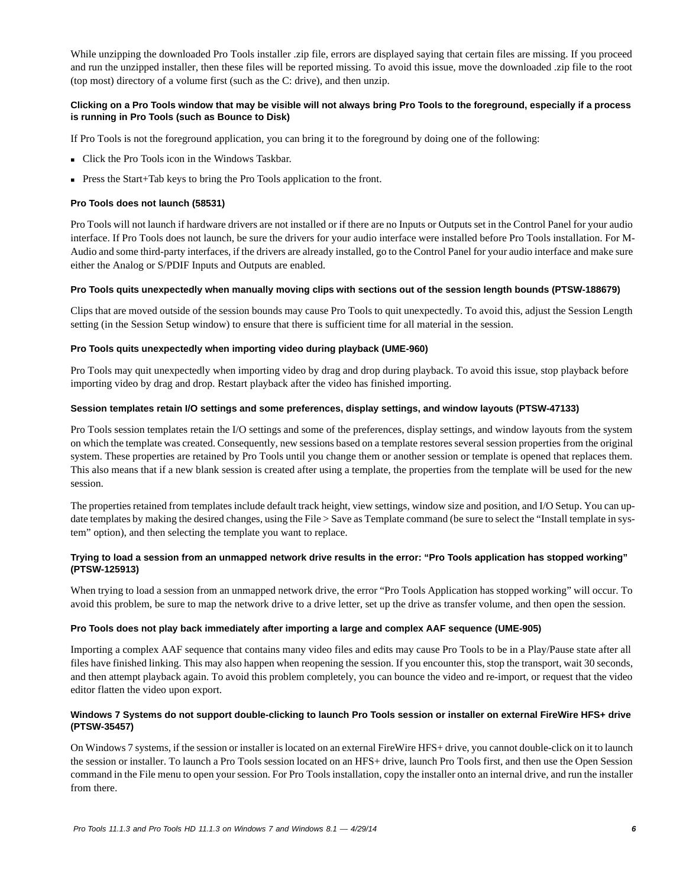While unzipping the downloaded Pro Tools installer .zip file, errors are displayed saying that certain files are missing. If you proceed and run the unzipped installer, then these files will be reported missing. To avoid this issue, move the downloaded .zip file to the root (top most) directory of a volume first (such as the C: drive), and then unzip.

### **Clicking on a Pro Tools window that may be visible will not always bring Pro Tools to the foreground, especially if a process is running in Pro Tools (such as Bounce to Disk)**

If Pro Tools is not the foreground application, you can bring it to the foreground by doing one of the following:

- Click the Pro Tools icon in the Windows Taskbar.
- **Press the Start+Tab keys to bring the Pro Tools application to the front.**

### **Pro Tools does not launch (58531)**

Pro Tools will not launch if hardware drivers are not installed or if there are no Inputs or Outputs set in the Control Panel for your audio interface. If Pro Tools does not launch, be sure the drivers for your audio interface were installed before Pro Tools installation. For M-Audio and some third-party interfaces, if the drivers are already installed, go to the Control Panel for your audio interface and make sure either the Analog or S/PDIF Inputs and Outputs are enabled.

### **Pro Tools quits unexpectedly when manually moving clips with sections out of the session length bounds (PTSW-188679)**

Clips that are moved outside of the session bounds may cause Pro Tools to quit unexpectedly. To avoid this, adjust the Session Length setting (in the Session Setup window) to ensure that there is sufficient time for all material in the session.

### **Pro Tools quits unexpectedly when importing video during playback (UME-960)**

Pro Tools may quit unexpectedly when importing video by drag and drop during playback. To avoid this issue, stop playback before importing video by drag and drop. Restart playback after the video has finished importing.

### **Session templates retain I/O settings and some preferences, display settings, and window layouts (PTSW-47133)**

Pro Tools session templates retain the I/O settings and some of the preferences, display settings, and window layouts from the system on which the template was created. Consequently, new sessions based on a template restores several session properties from the original system. These properties are retained by Pro Tools until you change them or another session or template is opened that replaces them. This also means that if a new blank session is created after using a template, the properties from the template will be used for the new session.

The properties retained from templates include default track height, view settings, window size and position, and I/O Setup. You can update templates by making the desired changes, using the File > Save as Template command (be sure to select the "Install template in system" option), and then selecting the template you want to replace.

### **Trying to load a session from an unmapped network drive results in the error: "Pro Tools application has stopped working" (PTSW-125913)**

When trying to load a session from an unmapped network drive, the error "Pro Tools Application has stopped working" will occur. To avoid this problem, be sure to map the network drive to a drive letter, set up the drive as transfer volume, and then open the session.

### **Pro Tools does not play back immediately after importing a large and complex AAF sequence (UME-905)**

Importing a complex AAF sequence that contains many video files and edits may cause Pro Tools to be in a Play/Pause state after all files have finished linking. This may also happen when reopening the session. If you encounter this, stop the transport, wait 30 seconds, and then attempt playback again. To avoid this problem completely, you can bounce the video and re-import, or request that the video editor flatten the video upon export.

### **Windows 7 Systems do not support double-clicking to launch Pro Tools session or installer on external FireWire HFS+ drive (PTSW-35457)**

On Windows 7 systems, if the session or installer is located on an external FireWire HFS+ drive, you cannot double-click on it to launch the session or installer. To launch a Pro Tools session located on an HFS+ drive, launch Pro Tools first, and then use the Open Session command in the File menu to open your session. For Pro Tools installation, copy the installer onto an internal drive, and run the installer from there.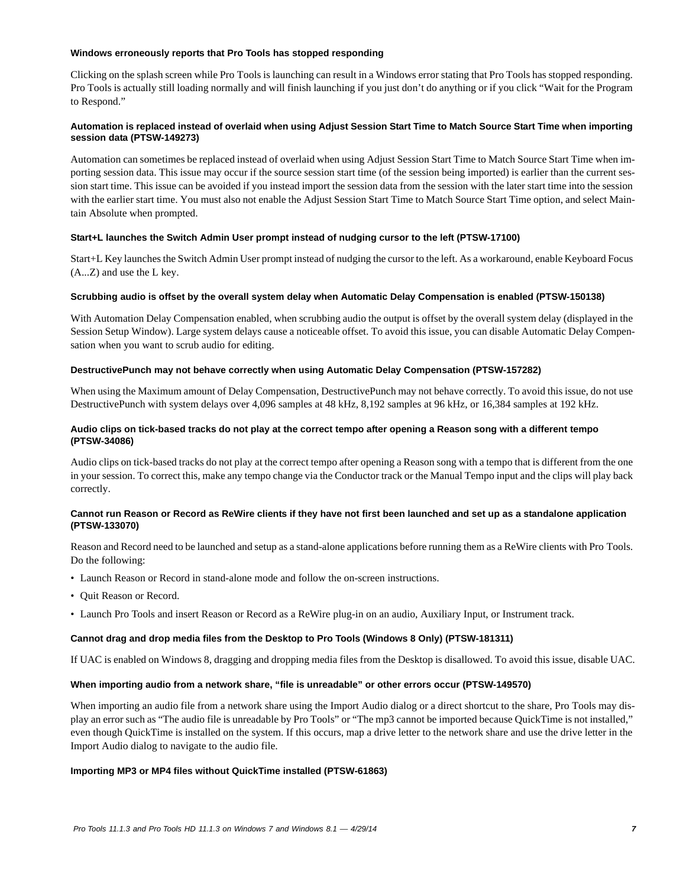### **Windows erroneously reports that Pro Tools has stopped responding**

Clicking on the splash screen while Pro Tools is launching can result in a Windows error stating that Pro Tools has stopped responding. Pro Tools is actually still loading normally and will finish launching if you just don't do anything or if you click "Wait for the Program to Respond."

### **Automation is replaced instead of overlaid when using Adjust Session Start Time to Match Source Start Time when importing session data (PTSW-149273)**

Automation can sometimes be replaced instead of overlaid when using Adjust Session Start Time to Match Source Start Time when importing session data. This issue may occur if the source session start time (of the session being imported) is earlier than the current session start time. This issue can be avoided if you instead import the session data from the session with the later start time into the session with the earlier start time. You must also not enable the Adjust Session Start Time to Match Source Start Time option, and select Maintain Absolute when prompted.

### **Start+L launches the Switch Admin User prompt instead of nudging cursor to the left (PTSW-17100)**

Start+L Key launches the Switch Admin User prompt instead of nudging the cursor to the left. As a workaround, enable Keyboard Focus (A...Z) and use the L key.

### **Scrubbing audio is offset by the overall system delay when Automatic Delay Compensation is enabled (PTSW-150138)**

With Automation Delay Compensation enabled, when scrubbing audio the output is offset by the overall system delay (displayed in the Session Setup Window). Large system delays cause a noticeable offset. To avoid this issue, you can disable Automatic Delay Compensation when you want to scrub audio for editing.

### **DestructivePunch may not behave correctly when using Automatic Delay Compensation (PTSW-157282)**

When using the Maximum amount of Delay Compensation, DestructivePunch may not behave correctly. To avoid this issue, do not use DestructivePunch with system delays over 4,096 samples at 48 kHz, 8,192 samples at 96 kHz, or 16,384 samples at 192 kHz.

### **Audio clips on tick-based tracks do not play at the correct tempo after opening a Reason song with a different tempo (PTSW-34086)**

Audio clips on tick-based tracks do not play at the correct tempo after opening a Reason song with a tempo that is different from the one in your session. To correct this, make any tempo change via the Conductor track or the Manual Tempo input and the clips will play back correctly.

### **Cannot run Reason or Record as ReWire clients if they have not first been launched and set up as a standalone application (PTSW-133070)**

Reason and Record need to be launched and setup as a stand-alone applications before running them as a ReWire clients with Pro Tools. Do the following:

- Launch Reason or Record in stand-alone mode and follow the on-screen instructions.
- Quit Reason or Record.
- Launch Pro Tools and insert Reason or Record as a ReWire plug-in on an audio, Auxiliary Input, or Instrument track.

### **Cannot drag and drop media files from the Desktop to Pro Tools (Windows 8 Only) (PTSW-181311)**

If UAC is enabled on Windows 8, dragging and dropping media files from the Desktop is disallowed. To avoid this issue, disable UAC.

### **When importing audio from a network share, "file is unreadable" or other errors occur (PTSW-149570)**

When importing an audio file from a network share using the Import Audio dialog or a direct shortcut to the share, Pro Tools may display an error such as "The audio file is unreadable by Pro Tools" or "The mp3 cannot be imported because QuickTime is not installed," even though QuickTime is installed on the system. If this occurs, map a drive letter to the network share and use the drive letter in the Import Audio dialog to navigate to the audio file.

### **Importing MP3 or MP4 files without QuickTime installed (PTSW-61863)**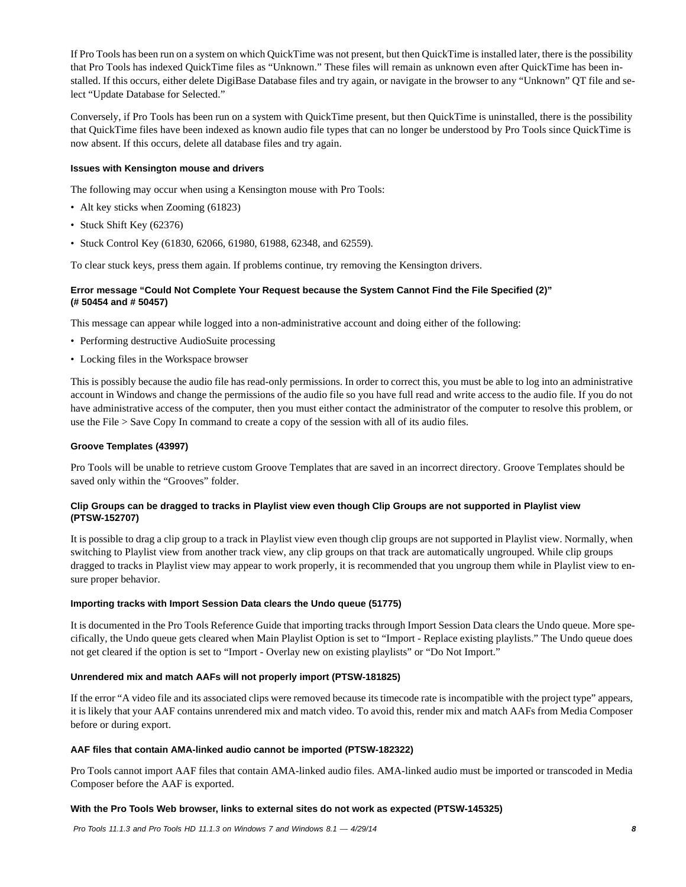If Pro Tools has been run on a system on which QuickTime was not present, but then QuickTime is installed later, there is the possibility that Pro Tools has indexed QuickTime files as "Unknown." These files will remain as unknown even after QuickTime has been installed. If this occurs, either delete DigiBase Database files and try again, or navigate in the browser to any "Unknown" QT file and select "Update Database for Selected."

Conversely, if Pro Tools has been run on a system with QuickTime present, but then QuickTime is uninstalled, there is the possibility that QuickTime files have been indexed as known audio file types that can no longer be understood by Pro Tools since QuickTime is now absent. If this occurs, delete all database files and try again.

### **Issues with Kensington mouse and drivers**

The following may occur when using a Kensington mouse with Pro Tools:

- Alt key sticks when Zooming (61823)
- Stuck Shift Key (62376)
- Stuck Control Key (61830, 62066, 61980, 61988, 62348, and 62559).

To clear stuck keys, press them again. If problems continue, try removing the Kensington drivers.

### **Error message "Could Not Complete Your Request because the System Cannot Find the File Specified (2)" (# 50454 and # 50457)**

This message can appear while logged into a non-administrative account and doing either of the following:

- Performing destructive AudioSuite processing
- Locking files in the Workspace browser

This is possibly because the audio file has read-only permissions. In order to correct this, you must be able to log into an administrative account in Windows and change the permissions of the audio file so you have full read and write access to the audio file. If you do not have administrative access of the computer, then you must either contact the administrator of the computer to resolve this problem, or use the File > Save Copy In command to create a copy of the session with all of its audio files.

### **Groove Templates (43997)**

Pro Tools will be unable to retrieve custom Groove Templates that are saved in an incorrect directory. Groove Templates should be saved only within the "Grooves" folder.

### **Clip Groups can be dragged to tracks in Playlist view even though Clip Groups are not supported in Playlist view (PTSW-152707)**

It is possible to drag a clip group to a track in Playlist view even though clip groups are not supported in Playlist view. Normally, when switching to Playlist view from another track view, any clip groups on that track are automatically ungrouped. While clip groups dragged to tracks in Playlist view may appear to work properly, it is recommended that you ungroup them while in Playlist view to ensure proper behavior.

### **Importing tracks with Import Session Data clears the Undo queue (51775)**

It is documented in the Pro Tools Reference Guide that importing tracks through Import Session Data clears the Undo queue. More specifically, the Undo queue gets cleared when Main Playlist Option is set to "Import - Replace existing playlists." The Undo queue does not get cleared if the option is set to "Import - Overlay new on existing playlists" or "Do Not Import."

### **Unrendered mix and match AAFs will not properly import (PTSW-181825)**

If the error "A video file and its associated clips were removed because its timecode rate is incompatible with the project type" appears, it is likely that your AAF contains unrendered mix and match video. To avoid this, render mix and match AAFs from Media Composer before or during export.

### **AAF files that contain AMA-linked audio cannot be imported (PTSW-182322)**

Pro Tools cannot import AAF files that contain AMA-linked audio files. AMA-linked audio must be imported or transcoded in Media Composer before the AAF is exported.

### **With the Pro Tools Web browser, links to external sites do not work as expected (PTSW-145325)**

 *Pro Tools 11.1.3 and Pro Tools HD 11.1.3 on Windows 7 and Windows 8.1*  $-$  *4/29/14* **8**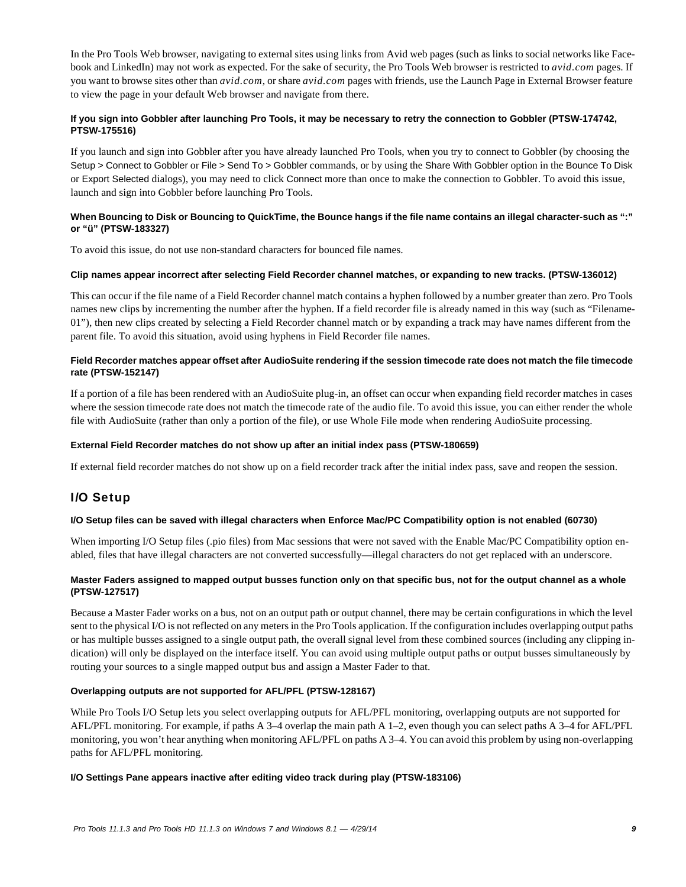In the Pro Tools Web browser, navigating to external sites using links from Avid web pages (such as links to social networks like Facebook and LinkedIn) may not work as expected. For the sake of security, the Pro Tools Web browser is restricted to *avid.com* pages. If you want to browse sites other than *avid.com*, or share *avid.com* pages with friends, use the Launch Page in External Browser feature to view the page in your default Web browser and navigate from there.

### **If you sign into Gobbler after launching Pro Tools, it may be necessary to retry the connection to Gobbler (PTSW-174742, PTSW-175516)**

If you launch and sign into Gobbler after you have already launched Pro Tools, when you try to connect to Gobbler (by choosing the Setup > Connect to Gobbler or File > Send To > Gobbler commands, or by using the Share With Gobbler option in the Bounce To Disk or Export Selected dialogs), you may need to click Connect more than once to make the connection to Gobbler. To avoid this issue, launch and sign into Gobbler before launching Pro Tools.

### **When Bouncing to Disk or Bouncing to QuickTime, the Bounce hangs if the file name contains an illegal character-such as ":" or "ü" (PTSW-183327)**

To avoid this issue, do not use non-standard characters for bounced file names.

### **Clip names appear incorrect after selecting Field Recorder channel matches, or expanding to new tracks. (PTSW-136012)**

This can occur if the file name of a Field Recorder channel match contains a hyphen followed by a number greater than zero. Pro Tools names new clips by incrementing the number after the hyphen. If a field recorder file is already named in this way (such as "Filename-01"), then new clips created by selecting a Field Recorder channel match or by expanding a track may have names different from the parent file. To avoid this situation, avoid using hyphens in Field Recorder file names.

### **Field Recorder matches appear offset after AudioSuite rendering if the session timecode rate does not match the file timecode rate (PTSW-152147)**

If a portion of a file has been rendered with an AudioSuite plug-in, an offset can occur when expanding field recorder matches in cases where the session timecode rate does not match the timecode rate of the audio file. To avoid this issue, you can either render the whole file with AudioSuite (rather than only a portion of the file), or use Whole File mode when rendering AudioSuite processing.

### **External Field Recorder matches do not show up after an initial index pass (PTSW-180659)**

If external field recorder matches do not show up on a field recorder track after the initial index pass, save and reopen the session.

# I/O Setup

### **I/O Setup files can be saved with illegal characters when Enforce Mac/PC Compatibility option is not enabled (60730)**

When importing I/O Setup files (.pio files) from Mac sessions that were not saved with the Enable Mac/PC Compatibility option enabled, files that have illegal characters are not converted successfully—illegal characters do not get replaced with an underscore.

### **Master Faders assigned to mapped output busses function only on that specific bus, not for the output channel as a whole (PTSW-127517)**

Because a Master Fader works on a bus, not on an output path or output channel, there may be certain configurations in which the level sent to the physical I/O is not reflected on any meters in the Pro Tools application. If the configuration includes overlapping output paths or has multiple busses assigned to a single output path, the overall signal level from these combined sources (including any clipping indication) will only be displayed on the interface itself. You can avoid using multiple output paths or output busses simultaneously by routing your sources to a single mapped output bus and assign a Master Fader to that.

### **Overlapping outputs are not supported for AFL/PFL (PTSW-128167)**

While Pro Tools I/O Setup lets you select overlapping outputs for AFL/PFL monitoring, overlapping outputs are not supported for AFL/PFL monitoring. For example, if paths A 3–4 overlap the main path A 1–2, even though you can select paths A 3–4 for AFL/PFL monitoring, you won't hear anything when monitoring AFL/PFL on paths A 3–4. You can avoid this problem by using non-overlapping paths for AFL/PFL monitoring.

### **I/O Settings Pane appears inactive after editing video track during play (PTSW-183106)**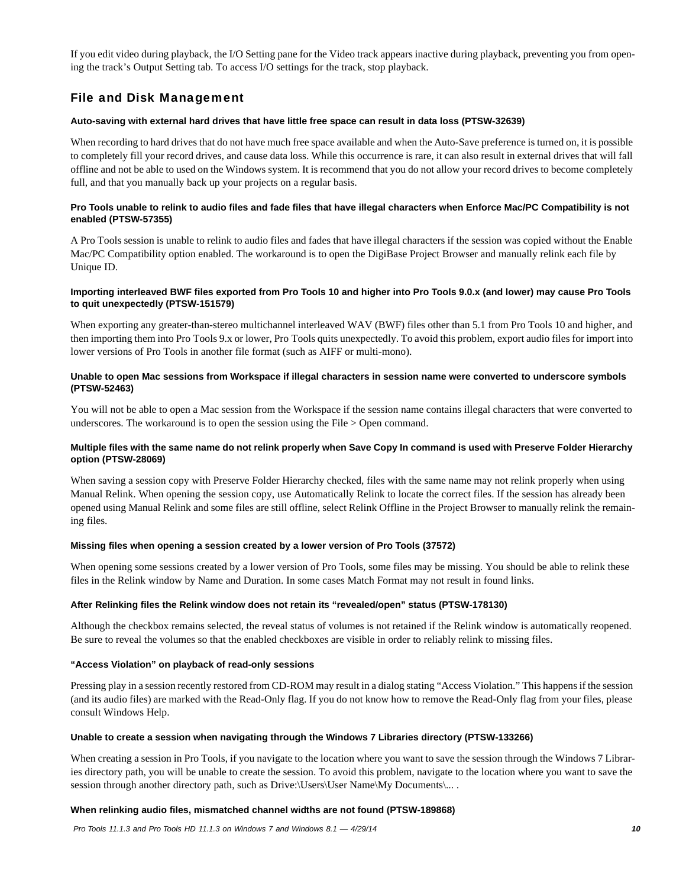If you edit video during playback, the I/O Setting pane for the Video track appears inactive during playback, preventing you from opening the track's Output Setting tab. To access I/O settings for the track, stop playback.

# File and Disk Management

### **Auto-saving with external hard drives that have little free space can result in data loss (PTSW-32639)**

When recording to hard drives that do not have much free space available and when the Auto-Save preference is turned on, it is possible to completely fill your record drives, and cause data loss. While this occurrence is rare, it can also result in external drives that will fall offline and not be able to used on the Windows system. It is recommend that you do not allow your record drives to become completely full, and that you manually back up your projects on a regular basis.

### **Pro Tools unable to relink to audio files and fade files that have illegal characters when Enforce Mac/PC Compatibility is not enabled (PTSW-57355)**

A Pro Tools session is unable to relink to audio files and fades that have illegal characters if the session was copied without the Enable Mac/PC Compatibility option enabled. The workaround is to open the DigiBase Project Browser and manually relink each file by Unique ID.

### **Importing interleaved BWF files exported from Pro Tools 10 and higher into Pro Tools 9.0.x (and lower) may cause Pro Tools to quit unexpectedly (PTSW-151579)**

When exporting any greater-than-stereo multichannel interleaved WAV (BWF) files other than 5.1 from Pro Tools 10 and higher, and then importing them into Pro Tools 9.x or lower, Pro Tools quits unexpectedly. To avoid this problem, export audio files for import into lower versions of Pro Tools in another file format (such as AIFF or multi-mono).

### **Unable to open Mac sessions from Workspace if illegal characters in session name were converted to underscore symbols (PTSW-52463)**

You will not be able to open a Mac session from the Workspace if the session name contains illegal characters that were converted to underscores. The workaround is to open the session using the File > Open command.

### **Multiple files with the same name do not relink properly when Save Copy In command is used with Preserve Folder Hierarchy option (PTSW-28069)**

When saving a session copy with Preserve Folder Hierarchy checked, files with the same name may not relink properly when using Manual Relink. When opening the session copy, use Automatically Relink to locate the correct files. If the session has already been opened using Manual Relink and some files are still offline, select Relink Offline in the Project Browser to manually relink the remaining files.

### **Missing files when opening a session created by a lower version of Pro Tools (37572)**

When opening some sessions created by a lower version of Pro Tools, some files may be missing. You should be able to relink these files in the Relink window by Name and Duration. In some cases Match Format may not result in found links.

### **After Relinking files the Relink window does not retain its "revealed/open" status (PTSW-178130)**

Although the checkbox remains selected, the reveal status of volumes is not retained if the Relink window is automatically reopened. Be sure to reveal the volumes so that the enabled checkboxes are visible in order to reliably relink to missing files.

### **"Access Violation" on playback of read-only sessions**

Pressing play in a session recently restored from CD-ROM may result in a dialog stating "Access Violation." This happens if the session (and its audio files) are marked with the Read-Only flag. If you do not know how to remove the Read-Only flag from your files, please consult Windows Help.

### **Unable to create a session when navigating through the Windows 7 Libraries directory (PTSW-133266)**

When creating a session in Pro Tools, if you navigate to the location where you want to save the session through the Windows 7 Libraries directory path, you will be unable to create the session. To avoid this problem, navigate to the location where you want to save the session through another directory path, such as Drive:\Users\User Name\My Documents\... .

### **When relinking audio files, mismatched channel widths are not found (PTSW-189868)**

 *Pro Tools 11.1.3 and Pro Tools HD 11.1.3 on Windows 7 and Windows 8.1 — 4/29/14 10*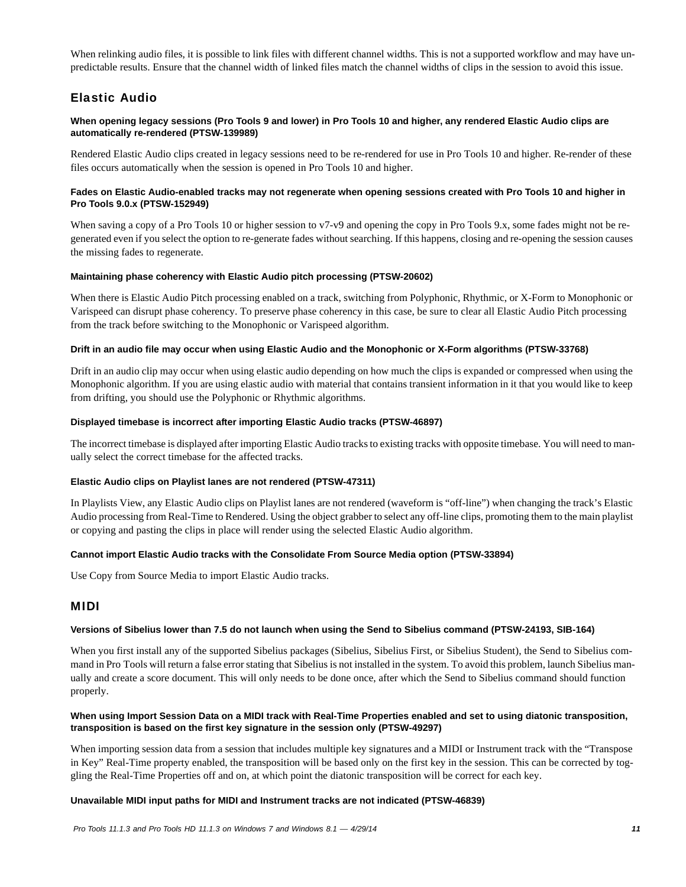When relinking audio files, it is possible to link files with different channel widths. This is not a supported workflow and may have unpredictable results. Ensure that the channel width of linked files match the channel widths of clips in the session to avoid this issue.

# Elastic Audio

### **When opening legacy sessions (Pro Tools 9 and lower) in Pro Tools 10 and higher, any rendered Elastic Audio clips are automatically re-rendered (PTSW-139989)**

Rendered Elastic Audio clips created in legacy sessions need to be re-rendered for use in Pro Tools 10 and higher. Re-render of these files occurs automatically when the session is opened in Pro Tools 10 and higher.

### **Fades on Elastic Audio-enabled tracks may not regenerate when opening sessions created with Pro Tools 10 and higher in Pro Tools 9.0.x (PTSW-152949)**

When saving a copy of a Pro Tools 10 or higher session to v7-v9 and opening the copy in Pro Tools 9.x, some fades might not be regenerated even if you select the option to re-generate fades without searching. If this happens, closing and re-opening the session causes the missing fades to regenerate.

### **Maintaining phase coherency with Elastic Audio pitch processing (PTSW-20602)**

When there is Elastic Audio Pitch processing enabled on a track, switching from Polyphonic, Rhythmic, or X-Form to Monophonic or Varispeed can disrupt phase coherency. To preserve phase coherency in this case, be sure to clear all Elastic Audio Pitch processing from the track before switching to the Monophonic or Varispeed algorithm.

### **Drift in an audio file may occur when using Elastic Audio and the Monophonic or X-Form algorithms (PTSW-33768)**

Drift in an audio clip may occur when using elastic audio depending on how much the clips is expanded or compressed when using the Monophonic algorithm. If you are using elastic audio with material that contains transient information in it that you would like to keep from drifting, you should use the Polyphonic or Rhythmic algorithms.

### **Displayed timebase is incorrect after importing Elastic Audio tracks (PTSW-46897)**

The incorrect timebase is displayed after importing Elastic Audio tracks to existing tracks with opposite timebase. You will need to manually select the correct timebase for the affected tracks.

### **Elastic Audio clips on Playlist lanes are not rendered (PTSW-47311)**

In Playlists View, any Elastic Audio clips on Playlist lanes are not rendered (waveform is "off-line") when changing the track's Elastic Audio processing from Real-Time to Rendered. Using the object grabber to select any off-line clips, promoting them to the main playlist or copying and pasting the clips in place will render using the selected Elastic Audio algorithm.

### **Cannot import Elastic Audio tracks with the Consolidate From Source Media option (PTSW-33894)**

Use Copy from Source Media to import Elastic Audio tracks.

### MIDI

### **Versions of Sibelius lower than 7.5 do not launch when using the Send to Sibelius command (PTSW-24193, SIB-164)**

When you first install any of the supported Sibelius packages (Sibelius, Sibelius First, or Sibelius Student), the Send to Sibelius command in Pro Tools will return a false error stating that Sibelius is not installed in the system. To avoid this problem, launch Sibelius manually and create a score document. This will only needs to be done once, after which the Send to Sibelius command should function properly.

### **When using Import Session Data on a MIDI track with Real-Time Properties enabled and set to using diatonic transposition, transposition is based on the first key signature in the session only (PTSW-49297)**

When importing session data from a session that includes multiple key signatures and a MIDI or Instrument track with the "Transpose in Key" Real-Time property enabled, the transposition will be based only on the first key in the session. This can be corrected by toggling the Real-Time Properties off and on, at which point the diatonic transposition will be correct for each key.

### **Unavailable MIDI input paths for MIDI and Instrument tracks are not indicated (PTSW-46839)**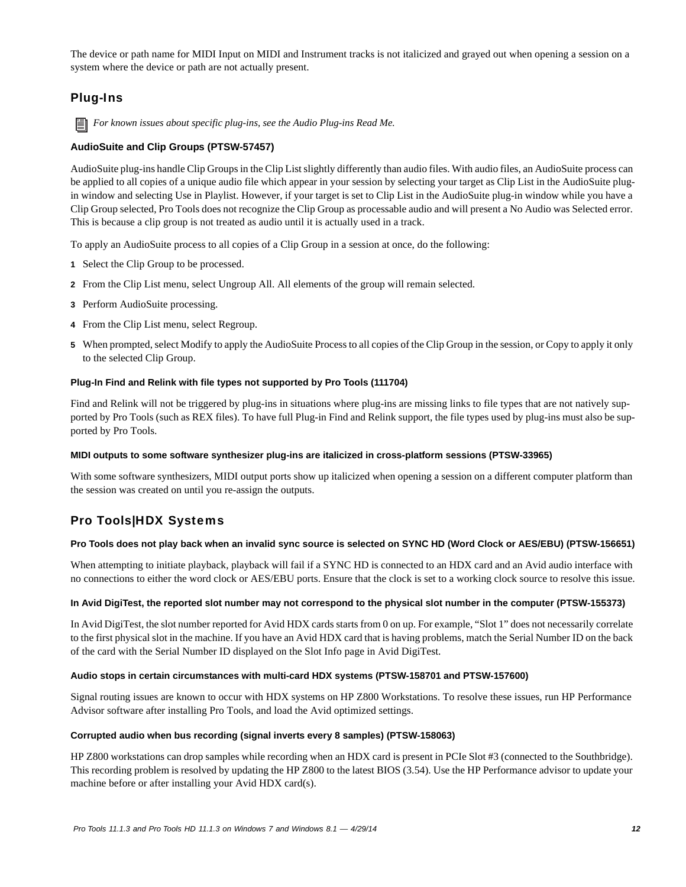The device or path name for MIDI Input on MIDI and Instrument tracks is not italicized and grayed out when opening a session on a system where the device or path are not actually present.

# Plug-Ins

*For known issues about specific plug-ins, see the Audio Plug-ins Read Me.*

### **AudioSuite and Clip Groups (PTSW-57457)**

AudioSuite plug-ins handle Clip Groups in the Clip List slightly differently than audio files. With audio files, an AudioSuite process can be applied to all copies of a unique audio file which appear in your session by selecting your target as Clip List in the AudioSuite plugin window and selecting Use in Playlist. However, if your target is set to Clip List in the AudioSuite plug-in window while you have a Clip Group selected, Pro Tools does not recognize the Clip Group as processable audio and will present a No Audio was Selected error. This is because a clip group is not treated as audio until it is actually used in a track.

To apply an AudioSuite process to all copies of a Clip Group in a session at once, do the following:

- **1** Select the Clip Group to be processed.
- **2** From the Clip List menu, select Ungroup All. All elements of the group will remain selected.
- **3** Perform AudioSuite processing.
- **4** From the Clip List menu, select Regroup.
- **5** When prompted, select Modify to apply the AudioSuite Process to all copies of the Clip Group in the session, or Copy to apply it only to the selected Clip Group.

### **Plug-In Find and Relink with file types not supported by Pro Tools (111704)**

Find and Relink will not be triggered by plug-ins in situations where plug-ins are missing links to file types that are not natively supported by Pro Tools (such as REX files). To have full Plug-in Find and Relink support, the file types used by plug-ins must also be supported by Pro Tools.

### **MIDI outputs to some software synthesizer plug-ins are italicized in cross-platform sessions (PTSW-33965)**

With some software synthesizers, MIDI output ports show up italicized when opening a session on a different computer platform than the session was created on until you re-assign the outputs.

# Pro Tools|HDX Systems

### **Pro Tools does not play back when an invalid sync source is selected on SYNC HD (Word Clock or AES/EBU) (PTSW-156651)**

When attempting to initiate playback, playback will fail if a SYNC HD is connected to an HDX card and an Avid audio interface with no connections to either the word clock or AES/EBU ports. Ensure that the clock is set to a working clock source to resolve this issue.

### **In Avid DigiTest, the reported slot number may not correspond to the physical slot number in the computer (PTSW-155373)**

In Avid DigiTest, the slot number reported for Avid HDX cards starts from 0 on up. For example, "Slot 1" does not necessarily correlate to the first physical slot in the machine. If you have an Avid HDX card that is having problems, match the Serial Number ID on the back of the card with the Serial Number ID displayed on the Slot Info page in Avid DigiTest.

### **Audio stops in certain circumstances with multi-card HDX systems (PTSW-158701 and PTSW-157600)**

Signal routing issues are known to occur with HDX systems on HP Z800 Workstations. To resolve these issues, run HP Performance Advisor software after installing Pro Tools, and load the Avid optimized settings.

### **Corrupted audio when bus recording (signal inverts every 8 samples) (PTSW-158063)**

HP Z800 workstations can drop samples while recording when an HDX card is present in PCIe Slot #3 (connected to the Southbridge). This recording problem is resolved by updating the HP Z800 to the latest BIOS (3.54). Use the HP Performance advisor to update your machine before or after installing your Avid HDX card(s).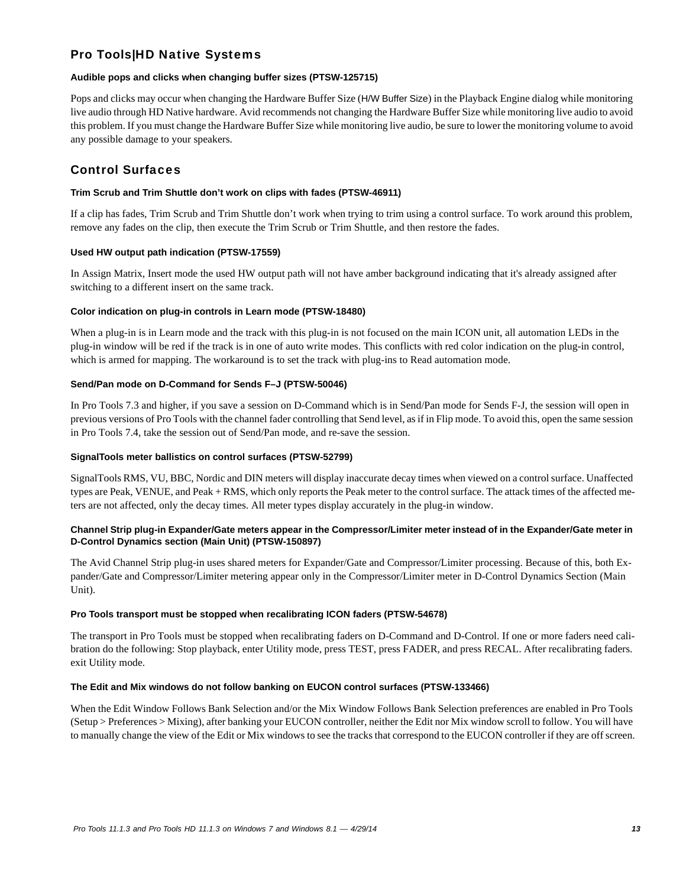# Pro Tools|HD Native Systems

### **Audible pops and clicks when changing buffer sizes (PTSW-125715)**

Pops and clicks may occur when changing the Hardware Buffer Size (H/W Buffer Size) in the Playback Engine dialog while monitoring live audio through HD Native hardware. Avid recommends not changing the Hardware Buffer Size while monitoring live audio to avoid this problem. If you must change the Hardware Buffer Size while monitoring live audio, be sure to lower the monitoring volume to avoid any possible damage to your speakers.

# Control Surfaces

### **Trim Scrub and Trim Shuttle don't work on clips with fades (PTSW-46911)**

If a clip has fades, Trim Scrub and Trim Shuttle don't work when trying to trim using a control surface. To work around this problem, remove any fades on the clip, then execute the Trim Scrub or Trim Shuttle, and then restore the fades.

### **Used HW output path indication (PTSW-17559)**

In Assign Matrix, Insert mode the used HW output path will not have amber background indicating that it's already assigned after switching to a different insert on the same track.

### **Color indication on plug-in controls in Learn mode (PTSW-18480)**

When a plug-in is in Learn mode and the track with this plug-in is not focused on the main ICON unit, all automation LEDs in the plug-in window will be red if the track is in one of auto write modes. This conflicts with red color indication on the plug-in control, which is armed for mapping. The workaround is to set the track with plug-ins to Read automation mode.

### **Send/Pan mode on D-Command for Sends F–J (PTSW-50046)**

In Pro Tools 7.3 and higher, if you save a session on D-Command which is in Send/Pan mode for Sends F-J, the session will open in previous versions of Pro Tools with the channel fader controlling that Send level, as if in Flip mode. To avoid this, open the same session in Pro Tools 7.4, take the session out of Send/Pan mode, and re-save the session.

### **SignalTools meter ballistics on control surfaces (PTSW-52799)**

SignalTools RMS, VU, BBC, Nordic and DIN meters will display inaccurate decay times when viewed on a control surface. Unaffected types are Peak, VENUE, and Peak + RMS, which only reports the Peak meter to the control surface. The attack times of the affected meters are not affected, only the decay times. All meter types display accurately in the plug-in window.

### **Channel Strip plug-in Expander/Gate meters appear in the Compressor/Limiter meter instead of in the Expander/Gate meter in D-Control Dynamics section (Main Unit) (PTSW-150897)**

The Avid Channel Strip plug-in uses shared meters for Expander/Gate and Compressor/Limiter processing. Because of this, both Expander/Gate and Compressor/Limiter metering appear only in the Compressor/Limiter meter in D-Control Dynamics Section (Main Unit).

### **Pro Tools transport must be stopped when recalibrating ICON faders (PTSW-54678)**

The transport in Pro Tools must be stopped when recalibrating faders on D-Command and D-Control. If one or more faders need calibration do the following: Stop playback, enter Utility mode, press TEST, press FADER, and press RECAL. After recalibrating faders. exit Utility mode.

### **The Edit and Mix windows do not follow banking on EUCON control surfaces (PTSW-133466)**

When the Edit Window Follows Bank Selection and/or the Mix Window Follows Bank Selection preferences are enabled in Pro Tools (Setup > Preferences > Mixing), after banking your EUCON controller, neither the Edit nor Mix window scroll to follow. You will have to manually change the view of the Edit or Mix windows to see the tracks that correspond to the EUCON controller if they are off screen.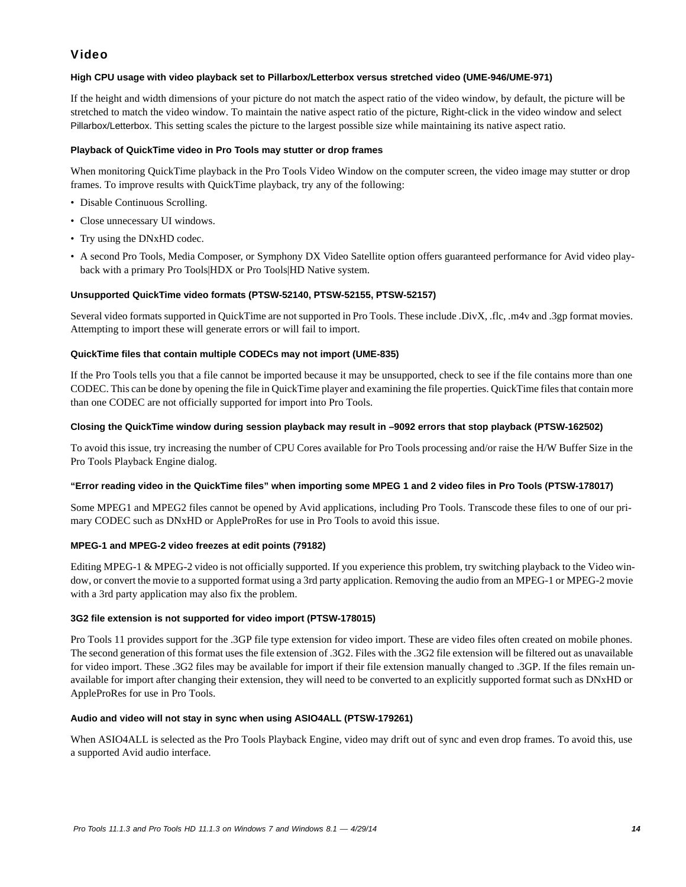# Video

### **High CPU usage with video playback set to Pillarbox/Letterbox versus stretched video (UME-946/UME-971)**

If the height and width dimensions of your picture do not match the aspect ratio of the video window, by default, the picture will be stretched to match the video window. To maintain the native aspect ratio of the picture, Right-click in the video window and select Pillarbox/Letterbox. This setting scales the picture to the largest possible size while maintaining its native aspect ratio.

### **Playback of QuickTime video in Pro Tools may stutter or drop frames**

When monitoring QuickTime playback in the Pro Tools Video Window on the computer screen, the video image may stutter or drop frames. To improve results with QuickTime playback, try any of the following:

- Disable Continuous Scrolling.
- Close unnecessary UI windows.
- Try using the DNxHD codec.
- A second Pro Tools, Media Composer, or Symphony DX Video Satellite option offers guaranteed performance for Avid video playback with a primary Pro Tools|HDX or Pro Tools|HD Native system.

### **Unsupported QuickTime video formats (PTSW-52140, PTSW-52155, PTSW-52157)**

Several video formats supported in QuickTime are not supported in Pro Tools. These include .DivX, .flc, .m4v and .3gp format movies. Attempting to import these will generate errors or will fail to import.

### **QuickTime files that contain multiple CODECs may not import (UME-835)**

If the Pro Tools tells you that a file cannot be imported because it may be unsupported, check to see if the file contains more than one CODEC. This can be done by opening the file in QuickTime player and examining the file properties. QuickTime files that contain more than one CODEC are not officially supported for import into Pro Tools.

### **Closing the QuickTime window during session playback may result in –9092 errors that stop playback (PTSW-162502)**

To avoid this issue, try increasing the number of CPU Cores available for Pro Tools processing and/or raise the H/W Buffer Size in the Pro Tools Playback Engine dialog.

### **"Error reading video in the QuickTime files" when importing some MPEG 1 and 2 video files in Pro Tools (PTSW-178017)**

Some MPEG1 and MPEG2 files cannot be opened by Avid applications, including Pro Tools. Transcode these files to one of our primary CODEC such as DNxHD or AppleProRes for use in Pro Tools to avoid this issue.

### **MPEG-1 and MPEG-2 video freezes at edit points (79182)**

Editing MPEG-1 & MPEG-2 video is not officially supported. If you experience this problem, try switching playback to the Video window, or convert the movie to a supported format using a 3rd party application. Removing the audio from an MPEG-1 or MPEG-2 movie with a 3rd party application may also fix the problem.

### **3G2 file extension is not supported for video import (PTSW-178015)**

Pro Tools 11 provides support for the .3GP file type extension for video import. These are video files often created on mobile phones. The second generation of this format uses the file extension of .3G2. Files with the .3G2 file extension will be filtered out as unavailable for video import. These .3G2 files may be available for import if their file extension manually changed to .3GP. If the files remain unavailable for import after changing their extension, they will need to be converted to an explicitly supported format such as DNxHD or AppleProRes for use in Pro Tools.

### **Audio and video will not stay in sync when using ASIO4ALL (PTSW-179261)**

When ASIO4ALL is selected as the Pro Tools Playback Engine, video may drift out of sync and even drop frames. To avoid this, use a supported Avid audio interface.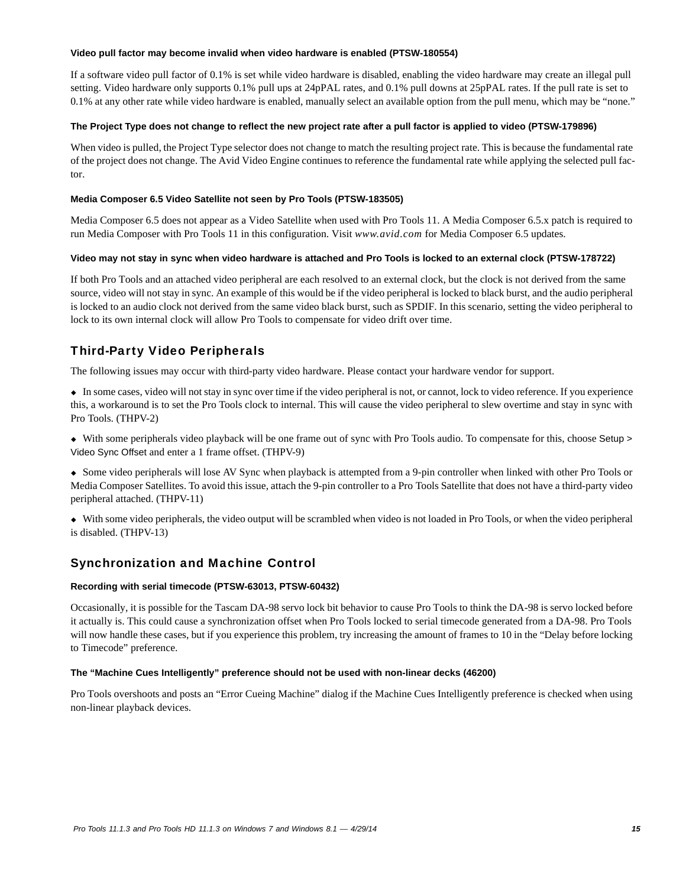### **Video pull factor may become invalid when video hardware is enabled (PTSW-180554)**

If a software video pull factor of 0.1% is set while video hardware is disabled, enabling the video hardware may create an illegal pull setting. Video hardware only supports 0.1% pull ups at 24pPAL rates, and 0.1% pull downs at 25pPAL rates. If the pull rate is set to 0.1% at any other rate while video hardware is enabled, manually select an available option from the pull menu, which may be "none."

### **The Project Type does not change to reflect the new project rate after a pull factor is applied to video (PTSW-179896)**

When video is pulled, the Project Type selector does not change to match the resulting project rate. This is because the fundamental rate of the project does not change. The Avid Video Engine continues to reference the fundamental rate while applying the selected pull factor.

### **Media Composer 6.5 Video Satellite not seen by Pro Tools (PTSW-183505)**

Media Composer 6.5 does not appear as a Video Satellite when used with Pro Tools 11. A Media Composer 6.5.x patch is required to run Media Composer with Pro Tools 11 in this configuration. Visit *www.avid.com* for Media Composer 6.5 updates.

### **Video may not stay in sync when video hardware is attached and Pro Tools is locked to an external clock (PTSW-178722)**

If both Pro Tools and an attached video peripheral are each resolved to an external clock, but the clock is not derived from the same source, video will not stay in sync. An example of this would be if the video peripheral is locked to black burst, and the audio peripheral is locked to an audio clock not derived from the same video black burst, such as SPDIF. In this scenario, setting the video peripheral to lock to its own internal clock will allow Pro Tools to compensate for video drift over time.

# Third-Party Video Peripherals

The following issues may occur with third-party video hardware. Please contact your hardware vendor for support.

 In some cases, video will not stay in sync over time if the video peripheral is not, or cannot, lock to video reference. If you experience this, a workaround is to set the Pro Tools clock to internal. This will cause the video peripheral to slew overtime and stay in sync with Pro Tools. (THPV-2)

 With some peripherals video playback will be one frame out of sync with Pro Tools audio. To compensate for this, choose Setup > Video Sync Offset and enter a 1 frame offset. (THPV-9)

 Some video peripherals will lose AV Sync when playback is attempted from a 9-pin controller when linked with other Pro Tools or Media Composer Satellites. To avoid this issue, attach the 9-pin controller to a Pro Tools Satellite that does not have a third-party video peripheral attached. (THPV-11)

 With some video peripherals, the video output will be scrambled when video is not loaded in Pro Tools, or when the video peripheral is disabled. (THPV-13)

# Synchronization and Machine Control

### **Recording with serial timecode (PTSW-63013, PTSW-60432)**

Occasionally, it is possible for the Tascam DA-98 servo lock bit behavior to cause Pro Tools to think the DA-98 is servo locked before it actually is. This could cause a synchronization offset when Pro Tools locked to serial timecode generated from a DA-98. Pro Tools will now handle these cases, but if you experience this problem, try increasing the amount of frames to 10 in the "Delay before locking to Timecode" preference.

### **The "Machine Cues Intelligently" preference should not be used with non-linear decks (46200)**

Pro Tools overshoots and posts an "Error Cueing Machine" dialog if the Machine Cues Intelligently preference is checked when using non-linear playback devices.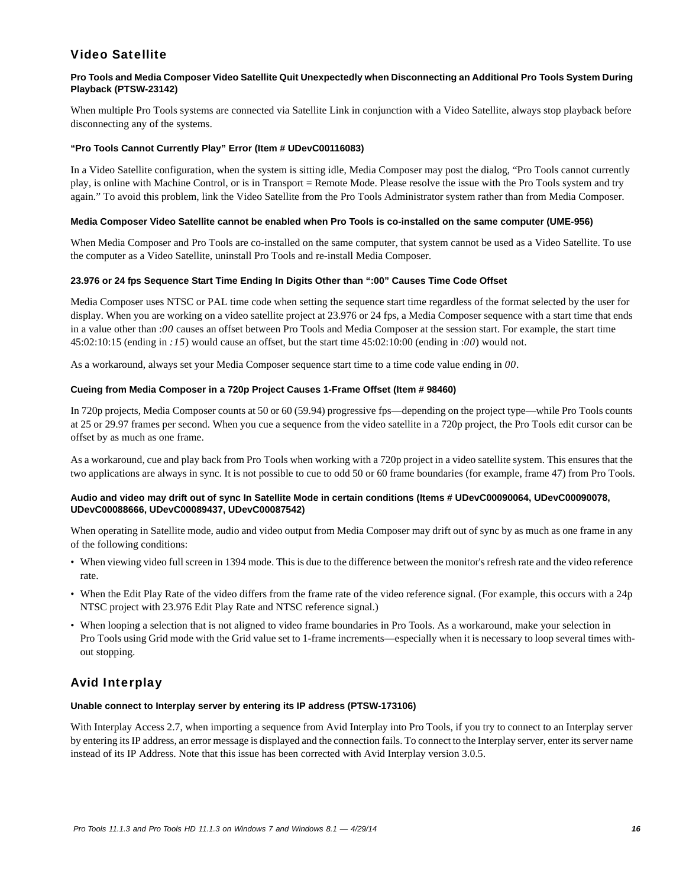# Video Satellite

### **Pro Tools and Media Composer Video Satellite Quit Unexpectedly when Disconnecting an Additional Pro Tools System During Playback (PTSW-23142)**

When multiple Pro Tools systems are connected via Satellite Link in conjunction with a Video Satellite, always stop playback before disconnecting any of the systems.

### **"Pro Tools Cannot Currently Play" Error (Item # UDevC00116083)**

In a Video Satellite configuration, when the system is sitting idle, Media Composer may post the dialog, "Pro Tools cannot currently play, is online with Machine Control, or is in Transport = Remote Mode. Please resolve the issue with the Pro Tools system and try again." To avoid this problem, link the Video Satellite from the Pro Tools Administrator system rather than from Media Composer.

### **Media Composer Video Satellite cannot be enabled when Pro Tools is co-installed on the same computer (UME-956)**

When Media Composer and Pro Tools are co-installed on the same computer, that system cannot be used as a Video Satellite. To use the computer as a Video Satellite, uninstall Pro Tools and re-install Media Composer.

### **23.976 or 24 fps Sequence Start Time Ending In Digits Other than ":00" Causes Time Code Offset**

Media Composer uses NTSC or PAL time code when setting the sequence start time regardless of the format selected by the user for display. When you are working on a video satellite project at 23.976 or 24 fps, a Media Composer sequence with a start time that ends in a value other than :*00* causes an offset between Pro Tools and Media Composer at the session start. For example, the start time 45:02:10:15 (ending in *:15*) would cause an offset, but the start time 45:02:10:00 (ending in :*00*) would not.

As a workaround, always set your Media Composer sequence start time to a time code value ending in *00*.

### **Cueing from Media Composer in a 720p Project Causes 1-Frame Offset (Item # 98460)**

In 720p projects, Media Composer counts at 50 or 60 (59.94) progressive fps—depending on the project type—while Pro Tools counts at 25 or 29.97 frames per second. When you cue a sequence from the video satellite in a 720p project, the Pro Tools edit cursor can be offset by as much as one frame.

As a workaround, cue and play back from Pro Tools when working with a 720p project in a video satellite system. This ensures that the two applications are always in sync. It is not possible to cue to odd 50 or 60 frame boundaries (for example, frame 47) from Pro Tools.

### **Audio and video may drift out of sync In Satellite Mode in certain conditions (Items # UDevC00090064, UDevC00090078, UDevC00088666, UDevC00089437, UDevC00087542)**

When operating in Satellite mode, audio and video output from Media Composer may drift out of sync by as much as one frame in any of the following conditions:

- When viewing video full screen in 1394 mode. This is due to the difference between the monitor's refresh rate and the video reference rate.
- When the Edit Play Rate of the video differs from the frame rate of the video reference signal. (For example, this occurs with a 24p NTSC project with 23.976 Edit Play Rate and NTSC reference signal.)
- When looping a selection that is not aligned to video frame boundaries in Pro Tools. As a workaround, make your selection in Pro Tools using Grid mode with the Grid value set to 1-frame increments—especially when it is necessary to loop several times without stopping.

# Avid Interplay

### **Unable connect to Interplay server by entering its IP address (PTSW-173106)**

With Interplay Access 2.7, when importing a sequence from Avid Interplay into Pro Tools, if you try to connect to an Interplay server by entering its IP address, an error message is displayed and the connection fails. To connect to the Interplay server, enter its server name instead of its IP Address. Note that this issue has been corrected with Avid Interplay version 3.0.5.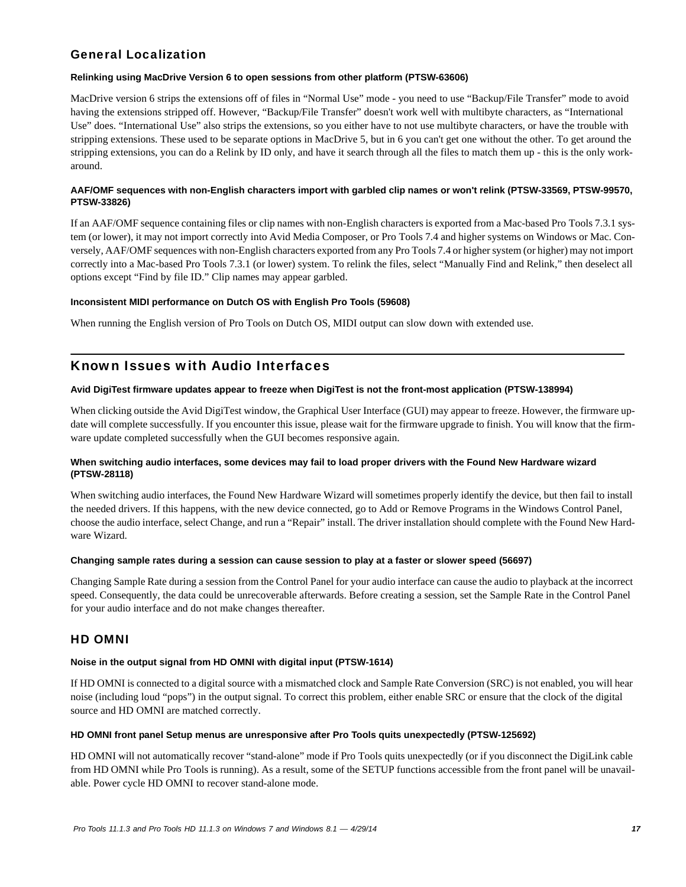# General Localization

### **Relinking using MacDrive Version 6 to open sessions from other platform (PTSW-63606)**

MacDrive version 6 strips the extensions off of files in "Normal Use" mode - you need to use "Backup/File Transfer" mode to avoid having the extensions stripped off. However, "Backup/File Transfer" doesn't work well with multibyte characters, as "International Use" does. "International Use" also strips the extensions, so you either have to not use multibyte characters, or have the trouble with stripping extensions. These used to be separate options in MacDrive 5, but in 6 you can't get one without the other. To get around the stripping extensions, you can do a Relink by ID only, and have it search through all the files to match them up - this is the only workaround.

### **AAF/OMF sequences with non-English characters import with garbled clip names or won't relink (PTSW-33569, PTSW-99570, PTSW-33826)**

If an AAF/OMF sequence containing files or clip names with non-English characters is exported from a Mac-based Pro Tools 7.3.1 system (or lower), it may not import correctly into Avid Media Composer, or Pro Tools 7.4 and higher systems on Windows or Mac. Conversely, AAF/OMF sequences with non-English characters exported from any Pro Tools 7.4 or higher system (or higher) may not import correctly into a Mac-based Pro Tools 7.3.1 (or lower) system. To relink the files, select "Manually Find and Relink," then deselect all options except "Find by file ID." Clip names may appear garbled.

### **Inconsistent MIDI performance on Dutch OS with English Pro Tools (59608)**

When running the English version of Pro Tools on Dutch OS, MIDI output can slow down with extended use.

# Known Issues with Audio Interfaces

### **Avid DigiTest firmware updates appear to freeze when DigiTest is not the front-most application (PTSW-138994)**

When clicking outside the Avid DigiTest window, the Graphical User Interface (GUI) may appear to freeze. However, the firmware update will complete successfully. If you encounter this issue, please wait for the firmware upgrade to finish. You will know that the firmware update completed successfully when the GUI becomes responsive again.

### **When switching audio interfaces, some devices may fail to load proper drivers with the Found New Hardware wizard (PTSW-28118)**

When switching audio interfaces, the Found New Hardware Wizard will sometimes properly identify the device, but then fail to install the needed drivers. If this happens, with the new device connected, go to Add or Remove Programs in the Windows Control Panel, choose the audio interface, select Change, and run a "Repair" install. The driver installation should complete with the Found New Hardware Wizard.

### **Changing sample rates during a session can cause session to play at a faster or slower speed (56697)**

Changing Sample Rate during a session from the Control Panel for your audio interface can cause the audio to playback at the incorrect speed. Consequently, the data could be unrecoverable afterwards. Before creating a session, set the Sample Rate in the Control Panel for your audio interface and do not make changes thereafter.

# HD OMNI

# **Noise in the output signal from HD OMNI with digital input (PTSW-1614)**

If HD OMNI is connected to a digital source with a mismatched clock and Sample Rate Conversion (SRC) is not enabled, you will hear noise (including loud "pops") in the output signal. To correct this problem, either enable SRC or ensure that the clock of the digital source and HD OMNI are matched correctly.

# **HD OMNI front panel Setup menus are unresponsive after Pro Tools quits unexpectedly (PTSW-125692)**

HD OMNI will not automatically recover "stand-alone" mode if Pro Tools quits unexpectedly (or if you disconnect the DigiLink cable from HD OMNI while Pro Tools is running). As a result, some of the SETUP functions accessible from the front panel will be unavailable. Power cycle HD OMNI to recover stand-alone mode.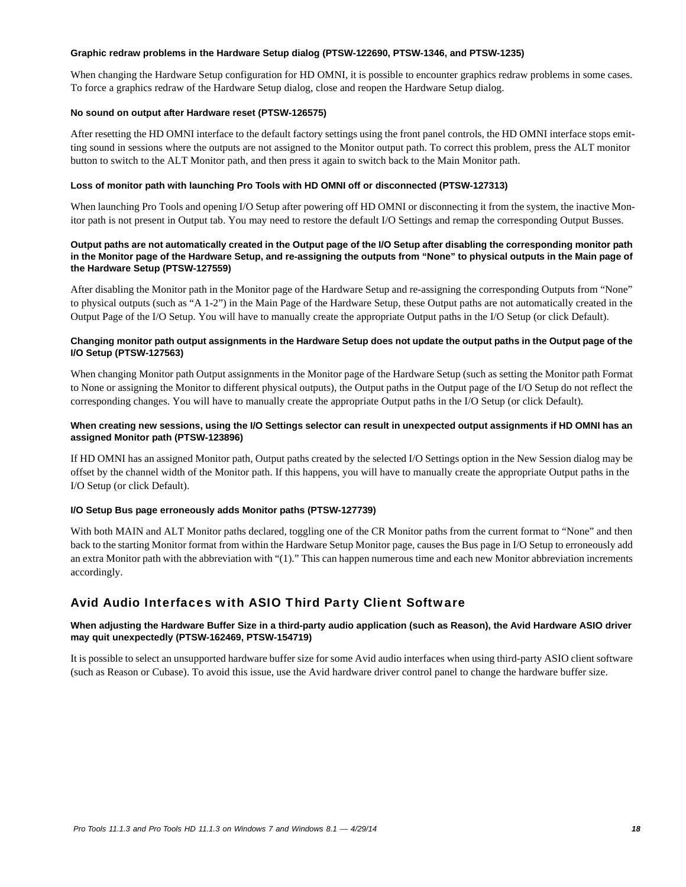### **Graphic redraw problems in the Hardware Setup dialog (PTSW-122690, PTSW-1346, and PTSW-1235)**

When changing the Hardware Setup configuration for HD OMNI, it is possible to encounter graphics redraw problems in some cases. To force a graphics redraw of the Hardware Setup dialog, close and reopen the Hardware Setup dialog.

### **No sound on output after Hardware reset (PTSW-126575)**

After resetting the HD OMNI interface to the default factory settings using the front panel controls, the HD OMNI interface stops emitting sound in sessions where the outputs are not assigned to the Monitor output path. To correct this problem, press the ALT monitor button to switch to the ALT Monitor path, and then press it again to switch back to the Main Monitor path.

### **Loss of monitor path with launching Pro Tools with HD OMNI off or disconnected (PTSW-127313)**

When launching Pro Tools and opening I/O Setup after powering off HD OMNI or disconnecting it from the system, the inactive Monitor path is not present in Output tab. You may need to restore the default I/O Settings and remap the corresponding Output Busses.

### **Output paths are not automatically created in the Output page of the I/O Setup after disabling the corresponding monitor path in the Monitor page of the Hardware Setup, and re-assigning the outputs from "None" to physical outputs in the Main page of the Hardware Setup (PTSW-127559)**

After disabling the Monitor path in the Monitor page of the Hardware Setup and re-assigning the corresponding Outputs from "None" to physical outputs (such as "A 1-2") in the Main Page of the Hardware Setup, these Output paths are not automatically created in the Output Page of the I/O Setup. You will have to manually create the appropriate Output paths in the I/O Setup (or click Default).

### **Changing monitor path output assignments in the Hardware Setup does not update the output paths in the Output page of the I/O Setup (PTSW-127563)**

When changing Monitor path Output assignments in the Monitor page of the Hardware Setup (such as setting the Monitor path Format to None or assigning the Monitor to different physical outputs), the Output paths in the Output page of the I/O Setup do not reflect the corresponding changes. You will have to manually create the appropriate Output paths in the I/O Setup (or click Default).

### When creating new sessions, using the I/O Settings selector can result in unexpected output assignments if HD OMNI has an **assigned Monitor path (PTSW-123896)**

If HD OMNI has an assigned Monitor path, Output paths created by the selected I/O Settings option in the New Session dialog may be offset by the channel width of the Monitor path. If this happens, you will have to manually create the appropriate Output paths in the I/O Setup (or click Default).

### **I/O Setup Bus page erroneously adds Monitor paths (PTSW-127739)**

With both MAIN and ALT Monitor paths declared, toggling one of the CR Monitor paths from the current format to "None" and then back to the starting Monitor format from within the Hardware Setup Monitor page, causes the Bus page in I/O Setup to erroneously add an extra Monitor path with the abbreviation with "(1)." This can happen numerous time and each new Monitor abbreviation increments accordingly.

# Avid Audio Interfaces with ASIO Third Party Client Software

### **When adjusting the Hardware Buffer Size in a third-party audio application (such as Reason), the Avid Hardware ASIO driver may quit unexpectedly (PTSW-162469, PTSW-154719)**

It is possible to select an unsupported hardware buffer size for some Avid audio interfaces when using third-party ASIO client software (such as Reason or Cubase). To avoid this issue, use the Avid hardware driver control panel to change the hardware buffer size.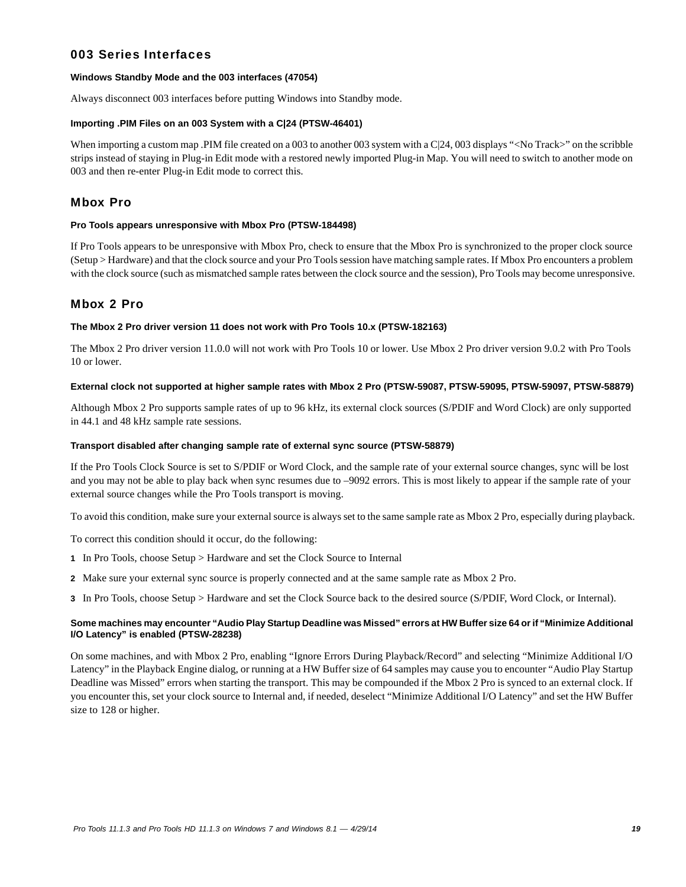# 003 Series Interfaces

### **Windows Standby Mode and the 003 interfaces (47054)**

Always disconnect 003 interfaces before putting Windows into Standby mode.

### **Importing .PIM Files on an 003 System with a C|24 (PTSW-46401)**

When importing a custom map .PIM file created on a 003 to another 003 system with a C|24, 003 displays "<No Track>" on the scribble strips instead of staying in Plug-in Edit mode with a restored newly imported Plug-in Map. You will need to switch to another mode on 003 and then re-enter Plug-in Edit mode to correct this.

### Mbox Pro

### **Pro Tools appears unresponsive with Mbox Pro (PTSW-184498)**

If Pro Tools appears to be unresponsive with Mbox Pro, check to ensure that the Mbox Pro is synchronized to the proper clock source (Setup > Hardware) and that the clock source and your Pro Tools session have matching sample rates. If Mbox Pro encounters a problem with the clock source (such as mismatched sample rates between the clock source and the session), Pro Tools may become unresponsive.

### Mbox 2 Pro

### **The Mbox 2 Pro driver version 11 does not work with Pro Tools 10.x (PTSW-182163)**

The Mbox 2 Pro driver version 11.0.0 will not work with Pro Tools 10 or lower. Use Mbox 2 Pro driver version 9.0.2 with Pro Tools 10 or lower.

### **External clock not supported at higher sample rates with Mbox 2 Pro (PTSW-59087, PTSW-59095, PTSW-59097, PTSW-58879)**

Although Mbox 2 Pro supports sample rates of up to 96 kHz, its external clock sources (S/PDIF and Word Clock) are only supported in 44.1 and 48 kHz sample rate sessions.

### **Transport disabled after changing sample rate of external sync source (PTSW-58879)**

If the Pro Tools Clock Source is set to S/PDIF or Word Clock, and the sample rate of your external source changes, sync will be lost and you may not be able to play back when sync resumes due to –9092 errors. This is most likely to appear if the sample rate of your external source changes while the Pro Tools transport is moving.

To avoid this condition, make sure your external source is always set to the same sample rate as Mbox 2 Pro, especially during playback.

To correct this condition should it occur, do the following:

- **1** In Pro Tools, choose Setup > Hardware and set the Clock Source to Internal
- **2** Make sure your external sync source is properly connected and at the same sample rate as Mbox 2 Pro.

**3** In Pro Tools, choose Setup > Hardware and set the Clock Source back to the desired source (S/PDIF, Word Clock, or Internal).

### **Some machines may encounter "Audio Play Startup Deadline was Missed" errors at HW Buffer size 64 or if "Minimize Additional I/O Latency" is enabled (PTSW-28238)**

On some machines, and with Mbox 2 Pro, enabling "Ignore Errors During Playback/Record" and selecting "Minimize Additional I/O Latency" in the Playback Engine dialog, or running at a HW Buffer size of 64 samples may cause you to encounter "Audio Play Startup Deadline was Missed" errors when starting the transport. This may be compounded if the Mbox 2 Pro is synced to an external clock. If you encounter this, set your clock source to Internal and, if needed, deselect "Minimize Additional I/O Latency" and set the HW Buffer size to 128 or higher.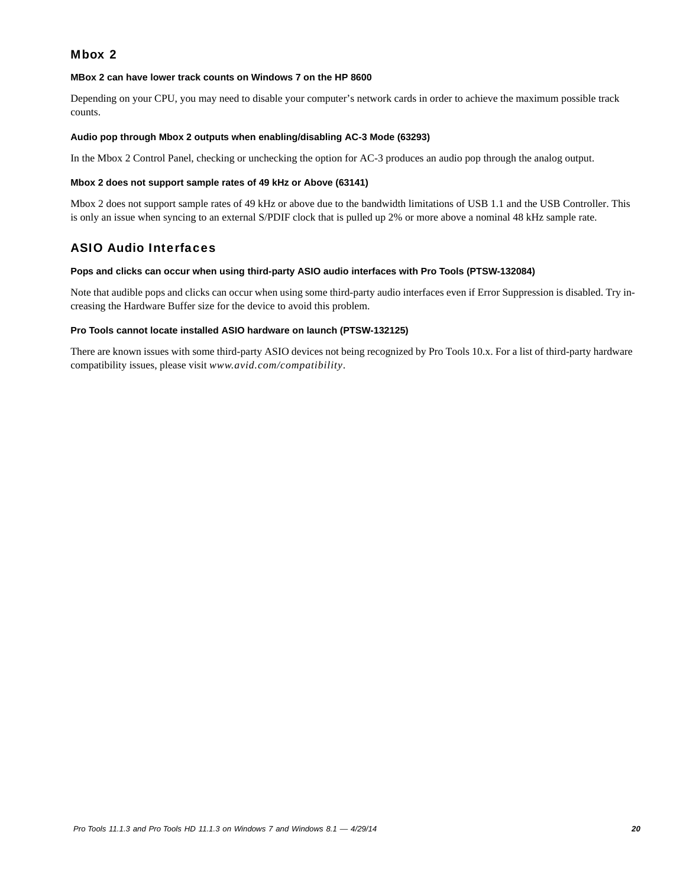# Mbox 2

### **MBox 2 can have lower track counts on Windows 7 on the HP 8600**

Depending on your CPU, you may need to disable your computer's network cards in order to achieve the maximum possible track counts.

### **Audio pop through Mbox 2 outputs when enabling/disabling AC-3 Mode (63293)**

In the Mbox 2 Control Panel, checking or unchecking the option for AC-3 produces an audio pop through the analog output.

### **Mbox 2 does not support sample rates of 49 kHz or Above (63141)**

Mbox 2 does not support sample rates of 49 kHz or above due to the bandwidth limitations of USB 1.1 and the USB Controller. This is only an issue when syncing to an external S/PDIF clock that is pulled up 2% or more above a nominal 48 kHz sample rate.

### ASIO Audio Interfaces

### **Pops and clicks can occur when using third-party ASIO audio interfaces with Pro Tools (PTSW-132084)**

Note that audible pops and clicks can occur when using some third-party audio interfaces even if Error Suppression is disabled. Try increasing the Hardware Buffer size for the device to avoid this problem.

### **Pro Tools cannot locate installed ASIO hardware on launch (PTSW-132125)**

There are known issues with some third-party ASIO devices not being recognized by Pro Tools 10.x. For a list of third-party hardware compatibility issues, please visit *www.avid.com/compatibility*.